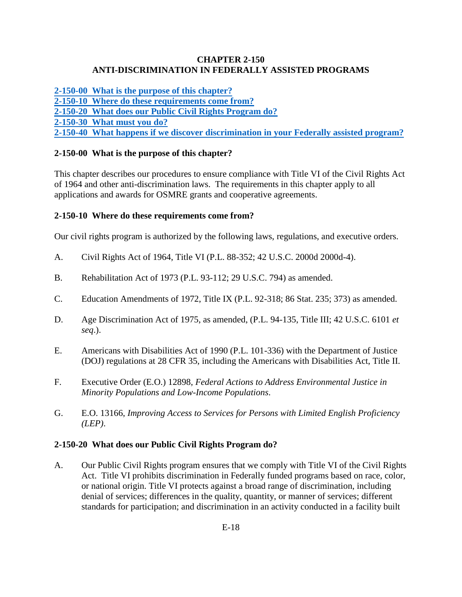### **CHAPTER 2-150 ANTI-DISCRIMINATION IN FEDERALLY ASSISTED PROGRAMS**

**[2-150-00 What is the purpose of this chapter?](#page-0-0) [2-150-10 Where do these requirements come from?](#page-0-1) [2-150-20 What does our Public Civil Rights Program do?](#page-0-2) [2-150-30 What must you do?](#page-1-0) [2-150-40 What happens if we discover discrimination in your Federally assisted program?](#page-1-1)**

## <span id="page-0-0"></span>**2-150-00 What is the purpose of this chapter?**

This chapter describes our procedures to ensure compliance with Title VI of the Civil Rights Act of 1964 and other anti-discrimination laws. The requirements in this chapter apply to all applications and awards for OSMRE grants and cooperative agreements.

#### <span id="page-0-1"></span>**2-150-10 Where do these requirements come from?**

Our civil rights program is authorized by the following laws, regulations, and executive orders.

- A. Civil Rights Act of 1964, Title VI (P.L. 88-352; 42 U.S.C. 2000d 2000d-4).
- B. Rehabilitation Act of 1973 (P.L. 93-112; 29 U.S.C. 794) as amended.
- C. Education Amendments of 1972, Title IX (P.L. 92-318; 86 Stat. 235; 373) as amended.
- D. Age Discrimination Act of 1975, as amended, (P.L. 94-135, Title III; 42 U.S.C. 6101 *et seq*.).
- E. Americans with Disabilities Act of 1990 (P.L. 101-336) with the Department of Justice (DOJ) regulations at 28 CFR 35, including the Americans with Disabilities Act, Title II.
- F. Executive Order (E.O.) 12898, *Federal Actions to Address Environmental Justice in Minority Populations and Low-Income Populations*.
- G. E.O. 13166, *Improving Access to Services for Persons with Limited English Proficiency (LEP)*.

#### <span id="page-0-2"></span>**2-150-20 What does our Public Civil Rights Program do?**

A. Our Public Civil Rights program ensures that we comply with Title VI of the Civil Rights Act. Title VI prohibits discrimination in Federally funded programs based on race, color, or national origin. Title VI protects against a broad range of discrimination, including denial of services; differences in the quality, quantity, or manner of services; different standards for participation; and discrimination in an activity conducted in a facility built